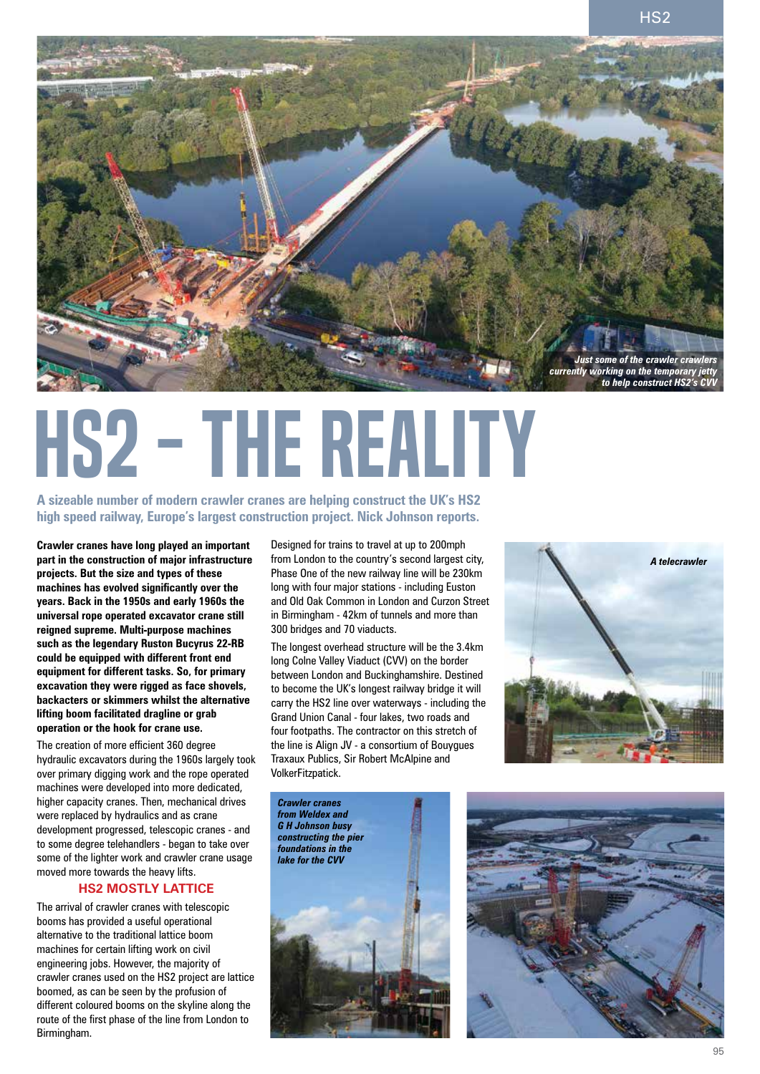

# HS2 - the reality

**A sizeable number of modern crawler cranes are helping construct the UK's HS2 high speed railway, Europe's largest construction project. Nick Johnson reports.**

**Crawler cranes have long played an important part in the construction of major infrastructure projects. But the size and types of these machines has evolved significantly over the years. Back in the 1950s and early 1960s the universal rope operated excavator crane still reigned supreme. Multi-purpose machines such as the legendary Ruston Bucyrus 22-RB could be equipped with different front end equipment for different tasks. So, for primary excavation they were rigged as face shovels, backacters or skimmers whilst the alternative lifting boom facilitated dragline or grab operation or the hook for crane use.**

The creation of more efficient 360 degree hydraulic excavators during the 1960s largely took over primary digging work and the rope operated machines were developed into more dedicated, higher capacity cranes. Then, mechanical drives were replaced by hydraulics and as crane development progressed, telescopic cranes - and to some degree telehandlers - began to take over some of the lighter work and crawler crane usage moved more towards the heavy lifts.

# **HS2 mostly lattice**

The arrival of crawler cranes with telescopic booms has provided a useful operational alternative to the traditional lattice boom machines for certain lifting work on civil engineering jobs. However, the majority of crawler cranes used on the HS2 project are lattice boomed, as can be seen by the profusion of different coloured booms on the skyline along the route of the first phase of the line from London to Birmingham.

Designed for trains to travel at up to 200mph from London to the country's second largest city, Phase One of the new railway line will be 230km long with four major stations - including Euston and Old Oak Common in London and Curzon Street in Birmingham - 42km of tunnels and more than 300 bridges and 70 viaducts.

The longest overhead structure will be the 3.4km long Colne Valley Viaduct (CVV) on the border between London and Buckinghamshire. Destined to become the UK's longest railway bridge it will carry the HS2 line over waterways - including the Grand Union Canal - four lakes, two roads and four footpaths. The contractor on this stretch of the line is Align JV - a consortium of Bouygues Traxaux Publics, Sir Robert McAlpine and VolkerFitzpatick.





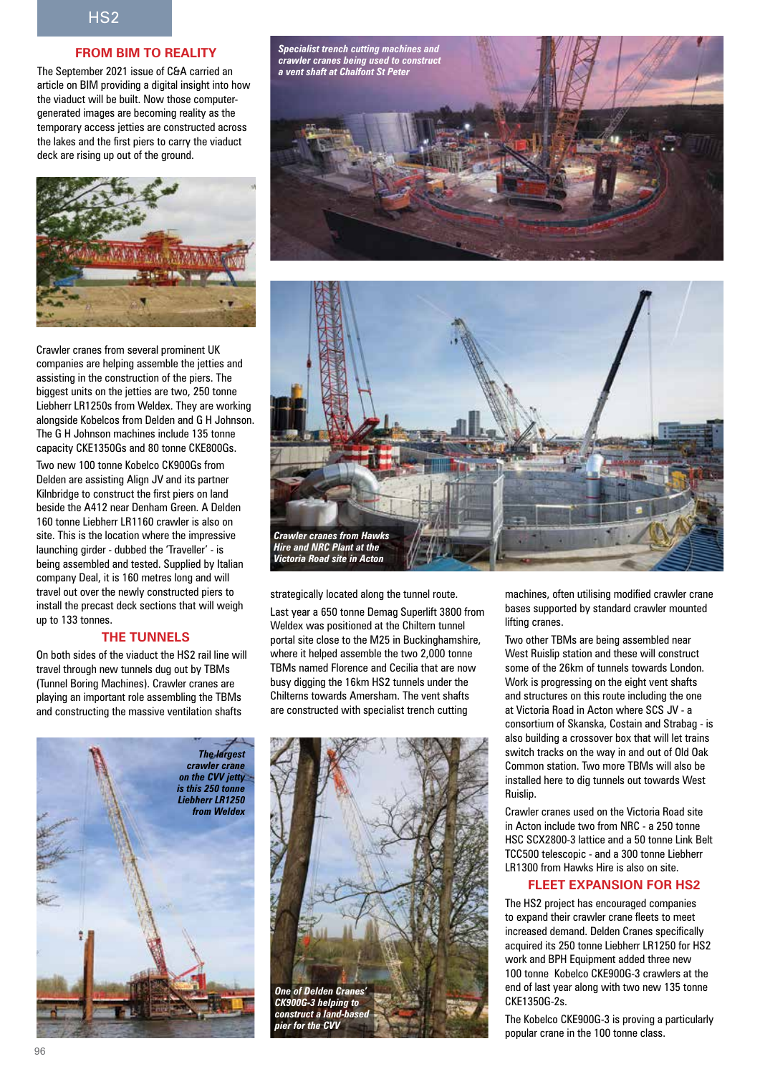# **From BIM to reality**

The September 2021 issue of C&A carried an article on BIM providing a digital insight into how the viaduct will be built. Now those computergenerated images are becoming reality as the temporary access jetties are constructed across the lakes and the first piers to carry the viaduct deck are rising up out of the ground.



Crawler cranes from several prominent UK companies are helping assemble the jetties and assisting in the construction of the piers. The biggest units on the jetties are two, 250 tonne Liebherr LR1250s from Weldex. They are working alongside Kobelcos from Delden and G H Johnson. The G H Johnson machines include 135 tonne capacity CKE1350Gs and 80 tonne CKE800Gs.

Two new 100 tonne Kobelco CK900Gs from Delden are assisting Align JV and its partner Kilnbridge to construct the first piers on land beside the A412 near Denham Green. A Delden 160 tonne Liebherr LR1160 crawler is also on site. This is the location where the impressive launching girder - dubbed the 'Traveller' - is being assembled and tested. Supplied by Italian company Deal, it is 160 metres long and will travel out over the newly constructed piers to install the precast deck sections that will weigh up to 133 tonnes.

### **The tunnels**

On both sides of the viaduct the HS2 rail line will travel through new tunnels dug out by TBMs (Tunnel Boring Machines). Crawler cranes are playing an important role assembling the TBMs and constructing the massive ventilation shafts





strategically located along the tunnel route.

Last year a 650 tonne Demag Superlift 3800 from Weldex was positioned at the Chiltern tunnel portal site close to the M25 in Buckinghamshire, where it helped assemble the two 2,000 tonne TBMs named Florence and Cecilia that are now busy digging the 16km HS2 tunnels under the Chilterns towards Amersham. The vent shafts are constructed with specialist trench cutting





machines, often utilising modified crawler crane bases supported by standard crawler mounted lifting cranes.

Two other TBMs are being assembled near West Ruislip station and these will construct some of the 26km of tunnels towards London. Work is progressing on the eight vent shafts and structures on this route including the one at Victoria Road in Acton where SCS JV - a consortium of Skanska, Costain and Strabag - is also building a crossover box that will let trains switch tracks on the way in and out of Old Oak Common station. Two more TBMs will also be installed here to dig tunnels out towards West Ruislip.

Crawler cranes used on the Victoria Road site in Acton include two from NRC - a 250 tonne HSC SCX2800-3 lattice and a 50 tonne Link Belt TCC500 telescopic - and a 300 tonne Liebherr LR1300 from Hawks Hire is also on site.

### **Fleet expansion for HS2**

The HS2 project has encouraged companies to expand their crawler crane fleets to meet increased demand. Delden Cranes specifically acquired its 250 tonne Liebherr LR1250 for HS2 work and BPH Equipment added three new 100 tonne Kobelco CKE900G-3 crawlers at the end of last year along with two new 135 tonne CKE1350G-2s.

The Kobelco CKE900G-3 is proving a particularly popular crane in the 100 tonne class.